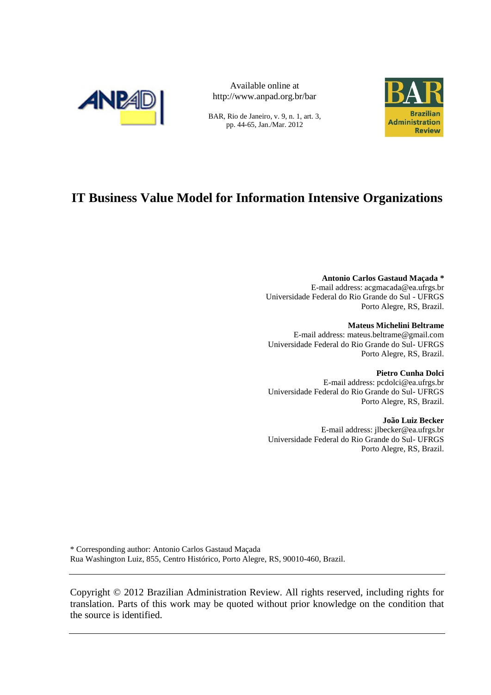

Available online at http://www.anpad.org.br/bar

BAR, Rio de Janeiro, v. 9, n. 1, art. 3, pp. 44-65, Jan./Mar. 2012



# **IT Business Value Model for Information Intensive Organizations**

**Antonio Carlos Gastaud Maçada \*** E-mail address: acgmacada@ea.ufrgs.br Universidade Federal do Rio Grande do Sul - UFRGS Porto Alegre, RS, Brazil.

#### **Mateus Michelini Beltrame**

E-mail address: mateus.beltrame@gmail.com Universidade Federal do Rio Grande do Sul- UFRGS Porto Alegre, RS, Brazil.

**Pietro Cunha Dolci** E-mail address: pcdolci@ea.ufrgs.br Universidade Federal do Rio Grande do Sul- UFRGS Porto Alegre, RS, Brazil.

**João Luiz Becker**

E-mail address: jlbecker@ea.ufrgs.br Universidade Federal do Rio Grande do Sul- UFRGS Porto Alegre, RS, Brazil.

\* Corresponding author: Antonio Carlos Gastaud Maçada Rua Washington Luiz, 855, Centro Histórico, Porto Alegre, RS, 90010-460, Brazil.

Copyright © 2012 Brazilian Administration Review. All rights reserved, including rights for translation. Parts of this work may be quoted without prior knowledge on the condition that the source is identified.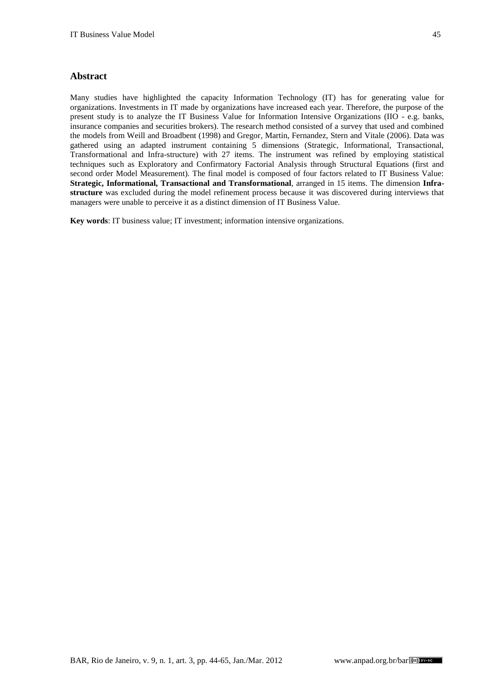#### **Abstract**

Many studies have highlighted the capacity Information Technology (IT) has for generating value for organizations. Investments in IT made by organizations have increased each year. Therefore, the purpose of the present study is to analyze the IT Business Value for Information Intensive Organizations (IIO - e.g. banks, insurance companies and securities brokers). The research method consisted of a survey that used and combined the models from Weill and Broadbent (1998) and Gregor, Martin, Fernandez, Stern and Vitale (2006). Data was gathered using an adapted instrument containing 5 dimensions (Strategic, Informational, Transactional, Transformational and Infra-structure) with 27 items. The instrument was refined by employing statistical techniques such as Exploratory and Confirmatory Factorial Analysis through Structural Equations (first and second order Model Measurement). The final model is composed of four factors related to IT Business Value: **Strategic, Informational, Transactional and Transformational**, arranged in 15 items. The dimension **Infrastructure** was excluded during the model refinement process because it was discovered during interviews that managers were unable to perceive it as a distinct dimension of IT Business Value.

**Key words**: IT business value; IT investment; information intensive organizations.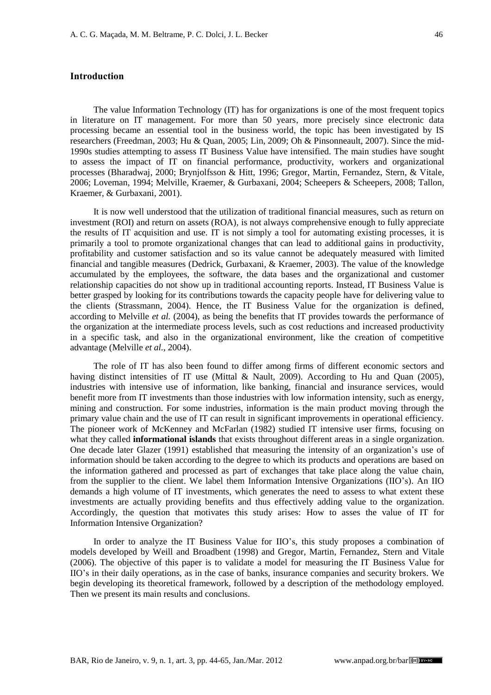## **Introduction**

The value Information Technology (IT) has for organizations is one of the most frequent topics in literature on IT management. For more than 50 years, more precisely since electronic data processing became an essential tool in the business world, the topic has been investigated by IS researchers (Freedman, 2003; Hu & Quan, 2005; Lin, 2009; Oh & Pinsonneault, 2007). Since the mid-1990s studies attempting to assess IT Business Value have intensified. The main studies have sought to assess the impact of IT on financial performance, productivity, workers and organizational processes (Bharadwaj, 2000; Brynjolfsson & Hitt, 1996; Gregor, Martin, Fernandez, Stern, & Vitale, 2006; Loveman, 1994; Melville, Kraemer, & Gurbaxani, 2004; Scheepers & Scheepers, 2008; Tallon, Kraemer, & Gurbaxani, 2001).

It is now well understood that the utilization of traditional financial measures, such as return on investment (ROI) and return on assets (ROA), is not always comprehensive enough to fully appreciate the results of IT acquisition and use. IT is not simply a tool for automating existing processes, it is primarily a tool to promote organizational changes that can lead to additional gains in productivity, profitability and customer satisfaction and so its value cannot be adequately measured with limited financial and tangible measures (Dedrick, Gurbaxani, & Kraemer, 2003). The value of the knowledge accumulated by the employees, the software, the data bases and the organizational and customer relationship capacities do not show up in traditional accounting reports. Instead, IT Business Value is better grasped by looking for its contributions towards the capacity people have for delivering value to the clients (Strassmann, 2004). Hence, the IT Business Value for the organization is defined, according to Melville *et al.* (2004), as being the benefits that IT provides towards the performance of the organization at the intermediate process levels, such as cost reductions and increased productivity in a specific task, and also in the organizational environment, like the creation of competitive advantage (Melville *et al.*, 2004).

The role of IT has also been found to differ among firms of different economic sectors and having distinct intensities of IT use (Mittal & Nault, 2009). According to Hu and Quan (2005), industries with intensive use of information, like banking, financial and insurance services, would benefit more from IT investments than those industries with low information intensity, such as energy, mining and construction. For some industries, information is the main product moving through the primary value chain and the use of IT can result in significant improvements in operational efficiency. The pioneer work of McKenney and McFarlan (1982) studied IT intensive user firms, focusing on what they called **informational islands** that exists throughout different areas in a single organization. One decade later Glazer (1991) established that measuring the intensity of an organization's use of information should be taken according to the degree to which its products and operations are based on the information gathered and processed as part of exchanges that take place along the value chain, from the supplier to the client. We label them Information Intensive Organizations (IIO's). An IIO demands a high volume of IT investments, which generates the need to assess to what extent these investments are actually providing benefits and thus effectively adding value to the organization. Accordingly, the question that motivates this study arises: How to asses the value of IT for Information Intensive Organization?

In order to analyze the IT Business Value for IIO's, this study proposes a combination of models developed by Weill and Broadbent (1998) and Gregor, Martin, Fernandez, Stern and Vitale (2006). The objective of this paper is to validate a model for measuring the IT Business Value for IIO's in their daily operations, as in the case of banks, insurance companies and security brokers. We begin developing its theoretical framework, followed by a description of the methodology employed. Then we present its main results and conclusions.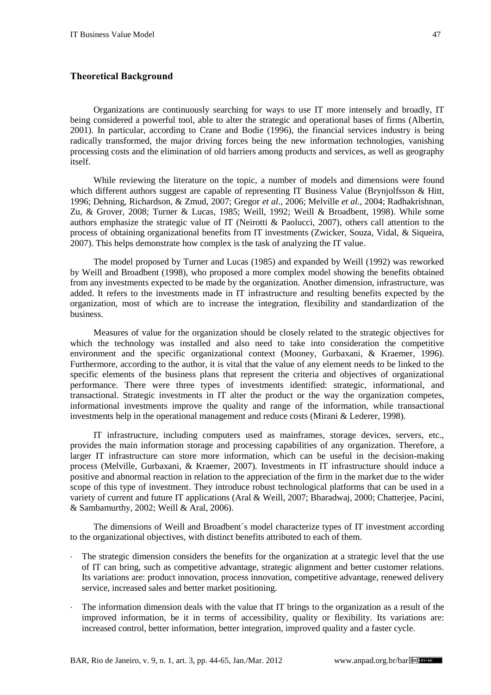## **Theoretical Background**

Organizations are continuously searching for ways to use IT more intensely and broadly, IT being considered a powerful tool, able to alter the strategic and operational bases of firms (Albertin, 2001). In particular, according to Crane and Bodie (1996), the financial services industry is being radically transformed, the major driving forces being the new information technologies, vanishing processing costs and the elimination of old barriers among products and services, as well as geography itself.

While reviewing the literature on the topic, a number of models and dimensions were found which different authors suggest are capable of representing IT Business Value (Brynjolfsson & Hitt, 1996; Dehning, Richardson, & Zmud, 2007; Gregor *et al.*, 2006; Melville *et al.*, 2004; Radhakrishnan, Zu, & Grover, 2008; Turner & Lucas, 1985; Weill, 1992; Weill & Broadbent, 1998). While some authors emphasize the strategic value of IT (Neirotti & Paolucci, 2007), others call attention to the process of obtaining organizational benefits from IT investments (Zwicker, Souza, Vidal, & Siqueira, 2007). This helps demonstrate how complex is the task of analyzing the IT value.

The model proposed by Turner and Lucas (1985) and expanded by Weill (1992) was reworked by Weill and Broadbent (1998), who proposed a more complex model showing the benefits obtained from any investments expected to be made by the organization. Another dimension, infrastructure, was added. It refers to the investments made in IT infrastructure and resulting benefits expected by the organization, most of which are to increase the integration, flexibility and standardization of the business.

Measures of value for the organization should be closely related to the strategic objectives for which the technology was installed and also need to take into consideration the competitive environment and the specific organizational context (Mooney, Gurbaxani, & Kraemer, 1996). Furthermore, according to the author, it is vital that the value of any element needs to be linked to the specific elements of the business plans that represent the criteria and objectives of organizational performance. There were three types of investments identified: strategic, informational, and transactional. Strategic investments in IT alter the product or the way the organization competes, informational investments improve the quality and range of the information, while transactional investments help in the operational management and reduce costs (Mirani & Lederer, 1998).

IT infrastructure, including computers used as mainframes, storage devices, servers, etc., provides the main information storage and processing capabilities of any organization. Therefore, a larger IT infrastructure can store more information, which can be useful in the decision-making process (Melville, Gurbaxani, & Kraemer, 2007). Investments in IT infrastructure should induce a positive and abnormal reaction in relation to the appreciation of the firm in the market due to the wider scope of this type of investment. They introduce robust technological platforms that can be used in a variety of current and future IT applications (Aral & Weill, 2007; Bharadwaj, 2000; Chatterjee, Pacini, & Sambamurthy, 2002; Weill & Aral, 2006).

The dimensions of Weill and Broadbent´s model characterize types of IT investment according to the organizational objectives, with distinct benefits attributed to each of them.

- The strategic dimension considers the benefits for the organization at a strategic level that the use of IT can bring, such as competitive advantage, strategic alignment and better customer relations. Its variations are: product innovation, process innovation, competitive advantage, renewed delivery service, increased sales and better market positioning.
- The information dimension deals with the value that IT brings to the organization as a result of the improved information, be it in terms of accessibility, quality or flexibility. Its variations are: increased control, better information, better integration, improved quality and a faster cycle.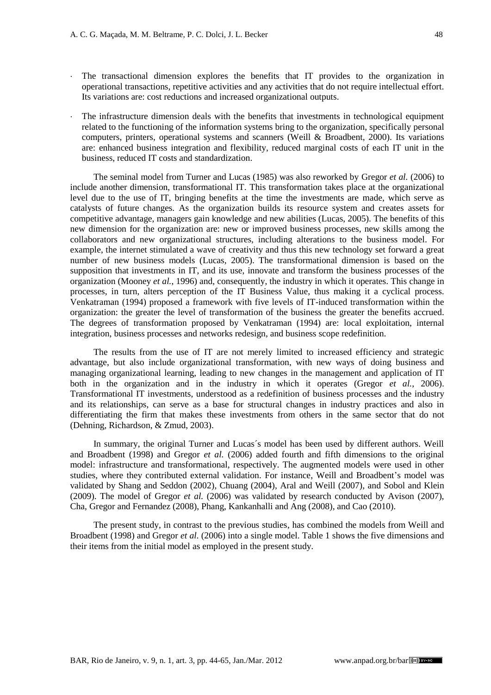- The transactional dimension explores the benefits that IT provides to the organization in operational transactions, repetitive activities and any activities that do not require intellectual effort. Its variations are: cost reductions and increased organizational outputs.
- The infrastructure dimension deals with the benefits that investments in technological equipment related to the functioning of the information systems bring to the organization, specifically personal computers, printers, operational systems and scanners (Weill & Broadbent, 2000). Its variations are: enhanced business integration and flexibility, reduced marginal costs of each IT unit in the business, reduced IT costs and standardization.

The seminal model from Turner and Lucas (1985) was also reworked by Gregor *et al.* (2006) to include another dimension, transformational IT. This transformation takes place at the organizational level due to the use of IT, bringing benefits at the time the investments are made, which serve as catalysts of future changes. As the organization builds its resource system and creates assets for competitive advantage, managers gain knowledge and new abilities (Lucas, 2005). The benefits of this new dimension for the organization are: new or improved business processes, new skills among the collaborators and new organizational structures, including alterations to the business model. For example, the internet stimulated a wave of creativity and thus this new technology set forward a great number of new business models (Lucas, 2005). The transformational dimension is based on the supposition that investments in IT, and its use, innovate and transform the business processes of the organization (Mooney *et al.*, 1996) and, consequently, the industry in which it operates. This change in processes, in turn, alters perception of the IT Business Value, thus making it a cyclical process. Venkatraman (1994) proposed a framework with five levels of IT-induced transformation within the organization: the greater the level of transformation of the business the greater the benefits accrued. The degrees of transformation proposed by Venkatraman (1994) are: local exploitation, internal integration, business processes and networks redesign, and business scope redefinition.

The results from the use of IT are not merely limited to increased efficiency and strategic advantage, but also include organizational transformation, with new ways of doing business and managing organizational learning, leading to new changes in the management and application of IT both in the organization and in the industry in which it operates (Gregor *et al.*, 2006). Transformational IT investments, understood as a redefinition of business processes and the industry and its relationships, can serve as a base for structural changes in industry practices and also in differentiating the firm that makes these investments from others in the same sector that do not (Dehning, Richardson, & Zmud, 2003).

In summary, the original Turner and Lucas´s model has been used by different authors. Weill and Broadbent (1998) and Gregor *et al.* (2006) added fourth and fifth dimensions to the original model: infrastructure and transformational, respectively. The augmented models were used in other studies, where they contributed external validation. For instance, Weill and Broadbent's model was validated by Shang and Seddon (2002), Chuang (2004), Aral and Weill (2007), and Sobol and Klein (2009). The model of Gregor *et al.* (2006) was validated by research conducted by Avison (2007), Cha, Gregor and Fernandez (2008), Phang, Kankanhalli and Ang (2008), and Cao (2010).

The present study, in contrast to the previous studies, has combined the models from Weill and Broadbent (1998) and Gregor *et al.* (2006) into a single model. Table 1 shows the five dimensions and their items from the initial model as employed in the present study.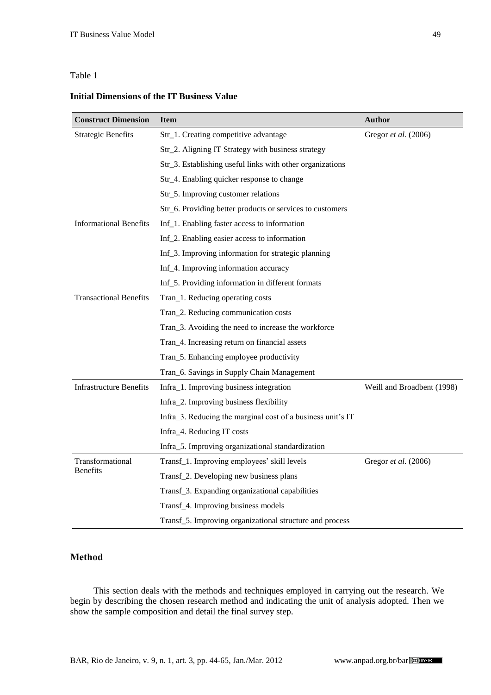## Table 1

## **Initial Dimensions of the IT Business Value**

| <b>Construct Dimension</b>     | <b>Item</b>                                                    | <b>Author</b>              |
|--------------------------------|----------------------------------------------------------------|----------------------------|
| <b>Strategic Benefits</b>      | Str_1. Creating competitive advantage                          | Gregor et al. (2006)       |
|                                | Str_2. Aligning IT Strategy with business strategy             |                            |
|                                | Str_3. Establishing useful links with other organizations      |                            |
|                                | Str_4. Enabling quicker response to change                     |                            |
|                                | Str_5. Improving customer relations                            |                            |
|                                | Str_6. Providing better products or services to customers      |                            |
| <b>Informational Benefits</b>  | Inf <sub>1</sub> . Enabling faster access to information       |                            |
|                                | Inf_2. Enabling easier access to information                   |                            |
|                                | Inf_3. Improving information for strategic planning            |                            |
|                                | Inf_4. Improving information accuracy                          |                            |
|                                | Inf_5. Providing information in different formats              |                            |
| <b>Transactional Benefits</b>  | Tran_1. Reducing operating costs                               |                            |
|                                | Tran_2. Reducing communication costs                           |                            |
|                                | Tran_3. Avoiding the need to increase the workforce            |                            |
|                                | Tran_4. Increasing return on financial assets                  |                            |
|                                | Tran_5. Enhancing employee productivity                        |                            |
|                                | Tran_6. Savings in Supply Chain Management                     |                            |
| <b>Infrastructure Benefits</b> | Infra <sub>1</sub> . Improving business integration            | Weill and Broadbent (1998) |
|                                | Infra_2. Improving business flexibility                        |                            |
|                                | Infra 3. Reducing the marginal cost of a business unit's IT    |                            |
|                                | Infra <sub>-4</sub> . Reducing IT costs                        |                            |
|                                | Infra <sub>-5</sub> . Improving organizational standardization |                            |
| Transformational               | Transf_1. Improving employees' skill levels                    | Gregor et al. (2006)       |
| <b>Benefits</b>                | Transf_2. Developing new business plans                        |                            |
|                                | Transf_3. Expanding organizational capabilities                |                            |
|                                | Transf_4. Improving business models                            |                            |
|                                | Transf_5. Improving organizational structure and process       |                            |

# **Method**

This section deals with the methods and techniques employed in carrying out the research. We begin by describing the chosen research method and indicating the unit of analysis adopted. Then we show the sample composition and detail the final survey step.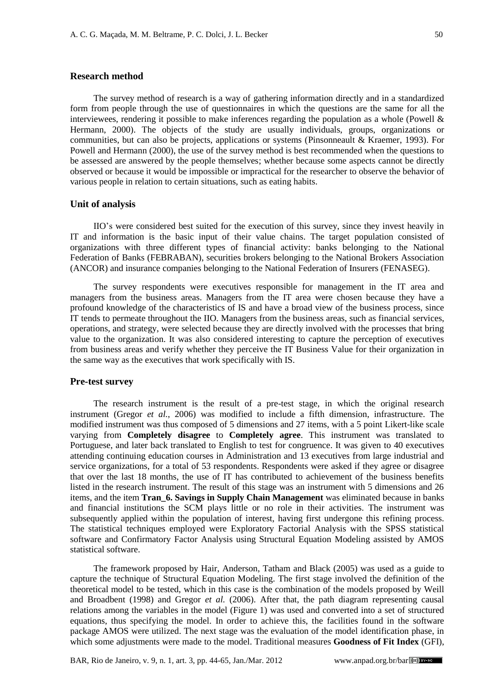## **Research method**

The survey method of research is a way of gathering information directly and in a standardized form from people through the use of questionnaires in which the questions are the same for all the interviewees, rendering it possible to make inferences regarding the population as a whole (Powell & Hermann, 2000). The objects of the study are usually individuals, groups, organizations or communities, but can also be projects, applications or systems (Pinsonneault & Kraemer, 1993). For Powell and Hermann (2000), the use of the survey method is best recommended when the questions to be assessed are answered by the people themselves; whether because some aspects cannot be directly observed or because it would be impossible or impractical for the researcher to observe the behavior of various people in relation to certain situations, such as eating habits.

## **Unit of analysis**

IIO's were considered best suited for the execution of this survey, since they invest heavily in IT and information is the basic input of their value chains. The target population consisted of organizations with three different types of financial activity: banks belonging to the National Federation of Banks (FEBRABAN), securities brokers belonging to the National Brokers Association (ANCOR) and insurance companies belonging to the National Federation of Insurers (FENASEG).

The survey respondents were executives responsible for management in the IT area and managers from the business areas. Managers from the IT area were chosen because they have a profound knowledge of the characteristics of IS and have a broad view of the business process, since IT tends to permeate throughout the IIO. Managers from the business areas, such as financial services, operations, and strategy, were selected because they are directly involved with the processes that bring value to the organization. It was also considered interesting to capture the perception of executives from business areas and verify whether they perceive the IT Business Value for their organization in the same way as the executives that work specifically with IS.

#### **Pre-test survey**

The research instrument is the result of a pre-test stage, in which the original research instrument (Gregor *et al.*, 2006) was modified to include a fifth dimension, infrastructure. The modified instrument was thus composed of 5 dimensions and 27 items, with a 5 point Likert-like scale varying from **Completely disagree** to **Completely agree**. This instrument was translated to Portuguese, and later back translated to English to test for congruence. It was given to 40 executives attending continuing education courses in Administration and 13 executives from large industrial and service organizations, for a total of 53 respondents. Respondents were asked if they agree or disagree that over the last 18 months, the use of IT has contributed to achievement of the business benefits listed in the research instrument. The result of this stage was an instrument with 5 dimensions and 26 items, and the item **Tran\_6. Savings in Supply Chain Management** was eliminated because in banks and financial institutions the SCM plays little or no role in their activities. The instrument was subsequently applied within the population of interest, having first undergone this refining process. The statistical techniques employed were Exploratory Factorial Analysis with the SPSS statistical software and Confirmatory Factor Analysis using Structural Equation Modeling assisted by AMOS statistical software.

The framework proposed by Hair, Anderson, Tatham and Black (2005) was used as a guide to capture the technique of Structural Equation Modeling. The first stage involved the definition of the theoretical model to be tested, which in this case is the combination of the models proposed by Weill and Broadbent (1998) and Gregor *et al.* (2006). After that, the path diagram representing causal relations among the variables in the model (Figure 1) was used and converted into a set of structured equations, thus specifying the model. In order to achieve this, the facilities found in the software package AMOS were utilized. The next stage was the evaluation of the model identification phase, in which some adjustments were made to the model. Traditional measures **Goodness of Fit Index** (GFI),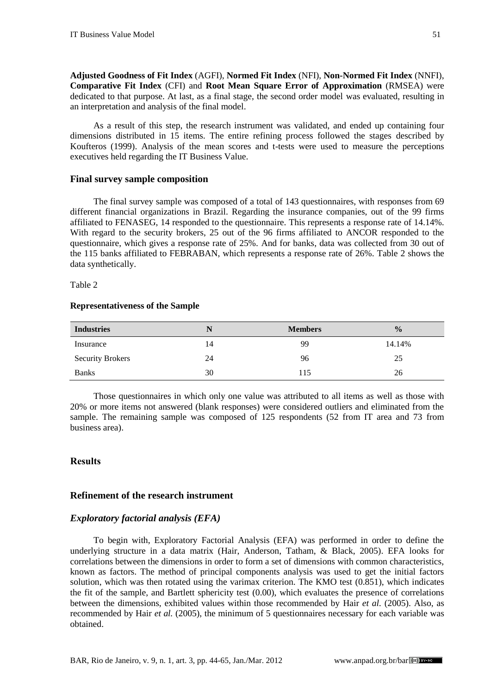**Adjusted Goodness of Fit Index** (AGFI), **Normed Fit Index** (NFI), **Non-Normed Fit Index** (NNFI), **Comparative Fit Index** (CFI) and **Root Mean Square Error of Approximation** (RMSEA) were dedicated to that purpose. At last, as a final stage, the second order model was evaluated, resulting in an interpretation and analysis of the final model.

As a result of this step, the research instrument was validated, and ended up containing four dimensions distributed in 15 items. The entire refining process followed the stages described by Koufteros (1999). Analysis of the mean scores and t-tests were used to measure the perceptions executives held regarding the IT Business Value.

## **Final survey sample composition**

The final survey sample was composed of a total of 143 questionnaires, with responses from 69 different financial organizations in Brazil. Regarding the insurance companies, out of the 99 firms affiliated to FENASEG, 14 responded to the questionnaire. This represents a response rate of 14.14%. With regard to the security brokers, 25 out of the 96 firms affiliated to ANCOR responded to the questionnaire, which gives a response rate of 25%. And for banks, data was collected from 30 out of the 115 banks affiliated to FEBRABAN, which represents a response rate of 26%. Table 2 shows the data synthetically.

Table 2

#### **Representativeness of the Sample**

| <b>Industries</b>       | N  | <b>Members</b> | $\frac{0}{0}$ |
|-------------------------|----|----------------|---------------|
| Insurance               | 14 | 99             | 14.14%        |
| <b>Security Brokers</b> | 24 | 96             | 25            |
| <b>Banks</b>            | 30 | 115            | 26            |

Those questionnaires in which only one value was attributed to all items as well as those with 20% or more items not answered (blank responses) were considered outliers and eliminated from the sample. The remaining sample was composed of 125 respondents (52 from IT area and 73 from business area).

## **Results**

## **Refinement of the research instrument**

## *Exploratory factorial analysis (EFA)*

To begin with, Exploratory Factorial Analysis (EFA) was performed in order to define the underlying structure in a data matrix (Hair, Anderson, Tatham, & Black, 2005). EFA looks for correlations between the dimensions in order to form a set of dimensions with common characteristics, known as factors. The method of principal components analysis was used to get the initial factors solution, which was then rotated using the varimax criterion. The KMO test (0.851), which indicates the fit of the sample, and Bartlett sphericity test (0.00), which evaluates the presence of correlations between the dimensions, exhibited values within those recommended by Hair *et al.* (2005). Also, as recommended by Hair *et al.* (2005), the minimum of 5 questionnaires necessary for each variable was obtained.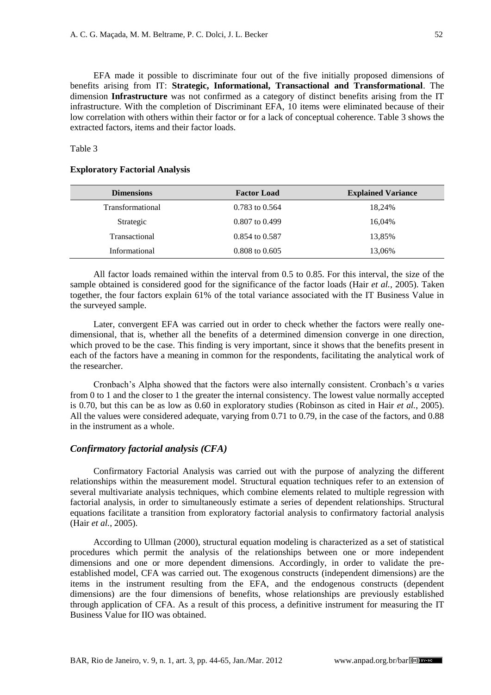EFA made it possible to discriminate four out of the five initially proposed dimensions of benefits arising from IT: **Strategic, Informational, Transactional and Transformational**. The dimension **Infrastructure** was not confirmed as a category of distinct benefits arising from the IT infrastructure. With the completion of Discriminant EFA, 10 items were eliminated because of their low correlation with others within their factor or for a lack of conceptual coherence. Table 3 shows the extracted factors, items and their factor loads.

## Table 3

#### **Exploratory Factorial Analysis**

| <b>Dimensions</b>       | <b>Factor Load</b> | <b>Explained Variance</b> |
|-------------------------|--------------------|---------------------------|
| <b>Transformational</b> | $0.783$ to $0.564$ | 18,24%                    |
| Strategic               | $0.807$ to $0.499$ | 16,04%                    |
| Transactional           | 0.854 to 0.587     | 13,85%                    |
| Informational           | $0.808$ to $0.605$ | 13,06%                    |

All factor loads remained within the interval from 0.5 to 0.85. For this interval, the size of the sample obtained is considered good for the significance of the factor loads (Hair *et al.*, 2005). Taken together, the four factors explain 61% of the total variance associated with the IT Business Value in the surveyed sample.

Later, convergent EFA was carried out in order to check whether the factors were really onedimensional, that is, whether all the benefits of a determined dimension converge in one direction, which proved to be the case. This finding is very important, since it shows that the benefits present in each of the factors have a meaning in common for the respondents, facilitating the analytical work of the researcher.

Cronbach's Alpha showed that the factors were also internally consistent. Cronbach's  $\alpha$  varies from 0 to 1 and the closer to 1 the greater the internal consistency. The lowest value normally accepted is 0.70, but this can be as low as 0.60 in exploratory studies (Robinson as cited in Hair *et al.*, 2005). All the values were considered adequate, varying from 0.71 to 0.79, in the case of the factors, and 0.88 in the instrument as a whole.

# *Confirmatory factorial analysis (CFA)*

Confirmatory Factorial Analysis was carried out with the purpose of analyzing the different relationships within the measurement model. Structural equation techniques refer to an extension of several multivariate analysis techniques, which combine elements related to multiple regression with factorial analysis, in order to simultaneously estimate a series of dependent relationships. Structural equations facilitate a transition from exploratory factorial analysis to confirmatory factorial analysis (Hair *et al.*, 2005).

According to Ullman (2000), structural equation modeling is characterized as a set of statistical procedures which permit the analysis of the relationships between one or more independent dimensions and one or more dependent dimensions. Accordingly, in order to validate the preestablished model, CFA was carried out. The exogenous constructs (independent dimensions) are the items in the instrument resulting from the EFA, and the endogenous constructs (dependent dimensions) are the four dimensions of benefits, whose relationships are previously established through application of CFA. As a result of this process, a definitive instrument for measuring the IT Business Value for IIO was obtained.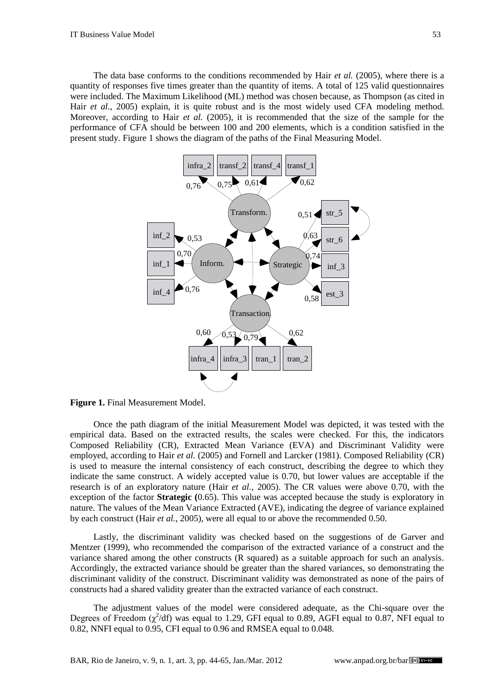The data base conforms to the conditions recommended by Hair *et al.* (2005), where there is a quantity of responses five times greater than the quantity of items. A total of 125 valid questionnaires were included. The Maximum Likelihood (ML) method was chosen because, as Thompson (as cited in Hair *et al.*, 2005) explain, it is quite robust and is the most widely used CFA modeling method. Moreover, according to Hair *et al.* (2005), it is recommended that the size of the sample for the performance of CFA should be between 100 and 200 elements, which is a condition satisfied in the present study. Figure 1 shows the diagram of the paths of the Final Measuring Model.



**Figure 1. Final Measurement Model.** 

Once the path diagram of the initial Measurement Model was depicted, it was tested with the empirical data. Based on the extracted results, the scales were checked. For this, the indicators Composed Reliability (CR), Extracted Mean Variance (EVA) and Discriminant Validity were employed, according to Hair *et al.* (2005) and Fornell and Larcker (1981). Composed Reliability (CR) is used to measure the internal consistency of each construct, describing the degree to which they indicate the same construct. A widely accepted value is 0.70, but lower values are acceptable if the research is of an exploratory nature (Hair *et al.*, 2005). The CR values were above 0.70, with the exception of the factor **Strategic (**0.65). This value was accepted because the study is exploratory in nature. The values of the Mean Variance Extracted (AVE), indicating the degree of variance explained by each construct (Hair *et al.*, 2005), were all equal to or above the recommended 0.50.

Lastly, the discriminant validity was checked based on the suggestions of de Garver and Mentzer (1999), who recommended the comparison of the extracted variance of a construct and the variance shared among the other constructs (R squared) as a suitable approach for such an analysis. Accordingly, the extracted variance should be greater than the shared variances, so demonstrating the discriminant validity of the construct. Discriminant validity was demonstrated as none of the pairs of constructs had a shared validity greater than the extracted variance of each construct.

The adjustment values of the model were considered adequate, as the Chi-square over the Degrees of Freedom  $(\chi^2/df)$  was equal to 1.29, GFI equal to 0.89, AGFI equal to 0.87, NFI equal to 0.82, NNFI equal to 0.95, CFI equal to 0.96 and RMSEA equal to 0.048.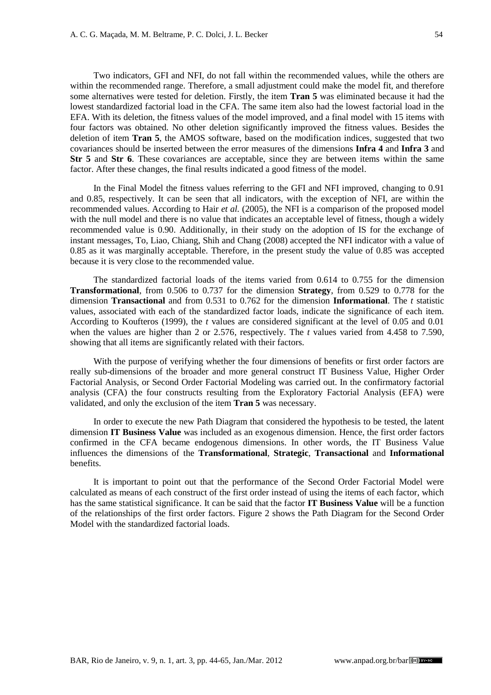Two indicators, GFI and NFI, do not fall within the recommended values, while the others are within the recommended range. Therefore, a small adjustment could make the model fit, and therefore some alternatives were tested for deletion. Firstly, the item **Tran 5** was eliminated because it had the lowest standardized factorial load in the CFA. The same item also had the lowest factorial load in the EFA. With its deletion, the fitness values of the model improved, and a final model with 15 items with four factors was obtained. No other deletion significantly improved the fitness values. Besides the deletion of item **Tran 5**, the AMOS software, based on the modification indices, suggested that two covariances should be inserted between the error measures of the dimensions **Infra 4** and **Infra 3** and **Str 5** and **Str 6**. These covariances are acceptable, since they are between items within the same factor. After these changes, the final results indicated a good fitness of the model.

In the Final Model the fitness values referring to the GFI and NFI improved, changing to 0.91 and 0.85, respectively. It can be seen that all indicators, with the exception of NFI, are within the recommended values. According to Hair *et al.* (2005), the NFI is a comparison of the proposed model with the null model and there is no value that indicates an acceptable level of fitness, though a widely recommended value is 0.90. Additionally, in their study on the adoption of IS for the exchange of instant messages, To, Liao, Chiang, Shih and Chang (2008) accepted the NFI indicator with a value of 0.85 as it was marginally acceptable. Therefore, in the present study the value of 0.85 was accepted because it is very close to the recommended value.

The standardized factorial loads of the items varied from 0.614 to 0.755 for the dimension **Transformational**, from 0.506 to 0.737 for the dimension **Strategy**, from 0.529 to 0.778 for the dimension **Transactional** and from 0.531 to 0.762 for the dimension **Informational**. The *t* statistic values, associated with each of the standardized factor loads, indicate the significance of each item. According to Koufteros (1999), the *t* values are considered significant at the level of 0.05 and 0.01 when the values are higher than 2 or 2.576, respectively. The *t* values varied from 4.458 to 7.590, showing that all items are significantly related with their factors.

With the purpose of verifying whether the four dimensions of benefits or first order factors are really sub-dimensions of the broader and more general construct IT Business Value, Higher Order Factorial Analysis, or Second Order Factorial Modeling was carried out. In the confirmatory factorial analysis (CFA) the four constructs resulting from the Exploratory Factorial Analysis (EFA) were validated, and only the exclusion of the item **Tran 5** was necessary.

In order to execute the new Path Diagram that considered the hypothesis to be tested, the latent dimension **IT Business Value** was included as an exogenous dimension. Hence, the first order factors confirmed in the CFA became endogenous dimensions. In other words, the IT Business Value influences the dimensions of the **Transformational**, **Strategic**, **Transactional** and **Informational** benefits.

It is important to point out that the performance of the Second Order Factorial Model were calculated as means of each construct of the first order instead of using the items of each factor, which has the same statistical significance. It can be said that the factor **IT Business Value** will be a function of the relationships of the first order factors. Figure 2 shows the Path Diagram for the Second Order Model with the standardized factorial loads.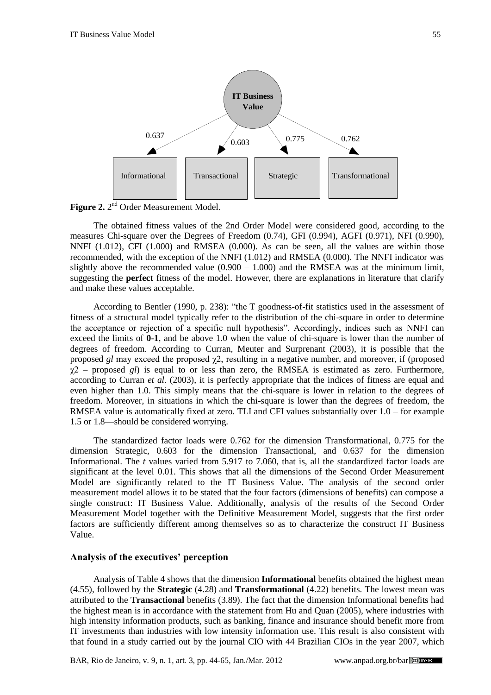

Figure 2. 2<sup>nd</sup> Order Measurement Model.

The obtained fitness values of the 2nd Order Model were considered good, according to the measures Chi-square over the Degrees of Freedom (0.74), GFI (0.994), AGFI (0.971), NFI (0.990), NNFI (1.012), CFI (1.000) and RMSEA (0.000). As can be seen, all the values are within those recommended, with the exception of the NNFI (1.012) and RMSEA (0.000). The NNFI indicator was slightly above the recommended value  $(0.900 - 1.000)$  and the RMSEA was at the minimum limit, suggesting the **perfect** fitness of the model. However, there are explanations in literature that clarify and make these values acceptable.

According to Bentler (1990, p. 238): "the T goodness-of-fit statistics used in the assessment of fitness of a structural model typically refer to the distribution of the chi-square in order to determine the acceptance or rejection of a specific null hypothesis". Accordingly, indices such as NNFI can exceed the limits of **0-1**, and be above 1.0 when the value of chi-square is lower than the number of degrees of freedom. According to Curran, Meuter and Surprenant (2003), it is possible that the proposed *gl* may exceed the proposed χ2, resulting in a negative number, and moreover, if (proposed χ2 – proposed *gl*) is equal to or less than zero, the RMSEA is estimated as zero. Furthermore, according to Curran *et al.* (2003), it is perfectly appropriate that the indices of fitness are equal and even higher than 1.0. This simply means that the chi-square is lower in relation to the degrees of freedom. Moreover, in situations in which the chi-square is lower than the degrees of freedom, the RMSEA value is automatically fixed at zero. TLI and CFI values substantially over 1.0 – for example 1.5 or 1.8—should be considered worrying.

The standardized factor loads were 0.762 for the dimension Transformational, 0.775 for the dimension Strategic, 0.603 for the dimension Transactional, and 0.637 for the dimension Informational. The *t* values varied from 5.917 to 7.060, that is, all the standardized factor loads are significant at the level 0.01. This shows that all the dimensions of the Second Order Measurement Model are significantly related to the IT Business Value. The analysis of the second order measurement model allows it to be stated that the four factors (dimensions of benefits) can compose a single construct: IT Business Value. Additionally, analysis of the results of the Second Order Measurement Model together with the Definitive Measurement Model, suggests that the first order factors are sufficiently different among themselves so as to characterize the construct IT Business Value.

## **Analysis of the executives' perception**

Analysis of Table 4 shows that the dimension **Informational** benefits obtained the highest mean (4.55), followed by the **Strategic** (4.28) and **Transformational** (4.22) benefits. The lowest mean was attributed to the **Transactional** benefits (3.89). The fact that the dimension Informational benefits had the highest mean is in accordance with the statement from Hu and Quan (2005), where industries with high intensity information products, such as banking, finance and insurance should benefit more from IT investments than industries with low intensity information use. This result is also consistent with that found in a study carried out by the journal CIO with 44 Brazilian CIOs in the year 2007, which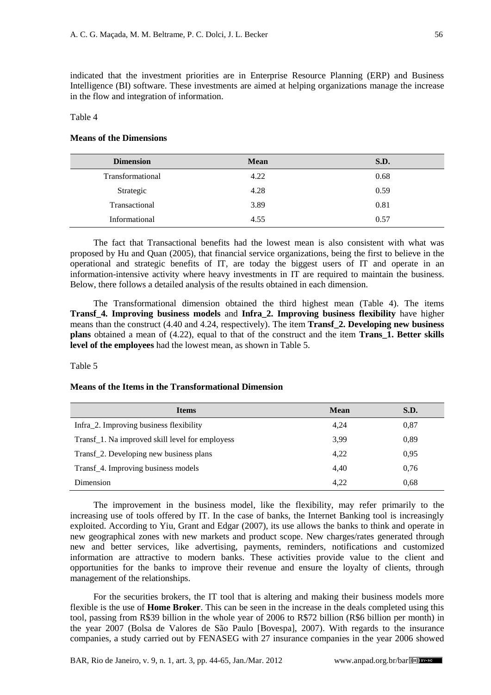indicated that the investment priorities are in Enterprise Resource Planning (ERP) and Business Intelligence (BI) software. These investments are aimed at helping organizations manage the increase in the flow and integration of information.

## Table 4

## **Means of the Dimensions**

| <b>Dimension</b> | <b>Mean</b> | <b>S.D.</b> |
|------------------|-------------|-------------|
| Transformational | 4.22        | 0.68        |
| Strategic        | 4.28        | 0.59        |
| Transactional    | 3.89        | 0.81        |
| Informational    | 4.55        | 0.57        |

The fact that Transactional benefits had the lowest mean is also consistent with what was proposed by Hu and Quan (2005), that financial service organizations, being the first to believe in the operational and strategic benefits of IT, are today the biggest users of IT and operate in an information-intensive activity where heavy investments in IT are required to maintain the business. Below, there follows a detailed analysis of the results obtained in each dimension.

The Transformational dimension obtained the third highest mean (Table 4). The items **Transf\_4. Improving business models** and **Infra\_2. Improving business flexibility** have higher means than the construct (4.40 and 4.24, respectively). The item **Transf\_2. Developing new business plans** obtained a mean of (4.22), equal to that of the construct and the item **Trans\_1. Better skills level of the employees** had the lowest mean, as shown in Table 5.

Table 5

## **Means of the Items in the Transformational Dimension**

| <b>Items</b>                                                | <b>Mean</b> | S.D. |
|-------------------------------------------------------------|-------------|------|
| Infra <sub>2</sub> . Improving business flexibility         | 4,24        | 0,87 |
| Transf <sub>1</sub> . Na improved skill level for employess | 3,99        | 0,89 |
| Transf_2. Developing new business plans                     | 4,22        | 0.95 |
| Transf_4. Improving business models                         | 4,40        | 0.76 |
| Dimension                                                   | 4.22        | 0.68 |

The improvement in the business model, like the flexibility, may refer primarily to the increasing use of tools offered by IT. In the case of banks, the Internet Banking tool is increasingly exploited. According to Yiu, Grant and Edgar (2007), its use allows the banks to think and operate in new geographical zones with new markets and product scope. New charges/rates generated through new and better services, like advertising, payments, reminders, notifications and customized information are attractive to modern banks. These activities provide value to the client and opportunities for the banks to improve their revenue and ensure the loyalty of clients, through management of the relationships.

For the securities brokers, the IT tool that is altering and making their business models more flexible is the use of **Home Broker**. This can be seen in the increase in the deals completed using this tool, passing from R\$39 billion in the whole year of 2006 to R\$72 billion (R\$6 billion per month) in the year 2007 (Bolsa de Valores de São Paulo [Bovespa], 2007). With regards to the insurance companies, a study carried out by FENASEG with 27 insurance companies in the year 2006 showed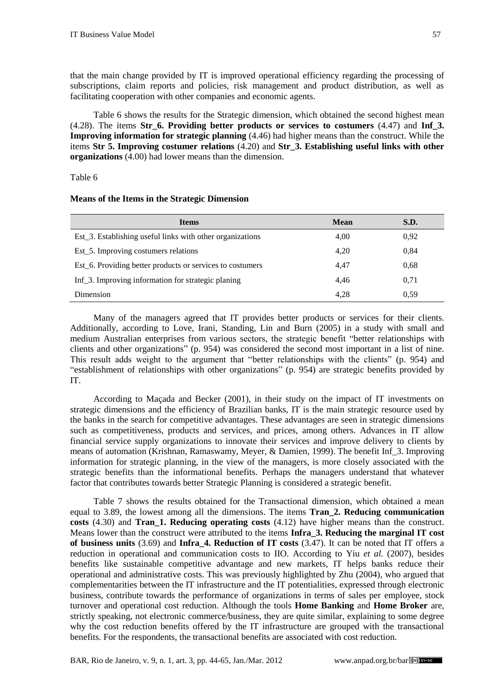that the main change provided by IT is improved operational efficiency regarding the processing of subscriptions, claim reports and policies, risk management and product distribution, as well as facilitating cooperation with other companies and economic agents.

Table 6 shows the results for the Strategic dimension, which obtained the second highest mean (4.28). The items **Str\_6. Providing better products or services to costumers** (4.47) and **Inf\_3. Improving information for strategic planning** (4.46) had higher means than the construct. While the items **Str 5. Improving costumer relations** (4.20) and **Str\_3. Establishing useful links with other organizations** (4.00) had lower means than the dimension.

Table 6

#### **Means of the Items in the Strategic Dimension**

| <b>Items</b>                                                    | Mean | S.D. |
|-----------------------------------------------------------------|------|------|
| Est_3. Establishing useful links with other organizations       | 4,00 | 0.92 |
| Est_5. Improving costumers relations                            | 4,20 | 0.84 |
| Est_6. Providing better products or services to costumers       | 4,47 | 0.68 |
| Inf <sub>2</sub> 3. Improving information for strategic planing | 4,46 | 0.71 |
| Dimension                                                       | 4.28 | 0.59 |

Many of the managers agreed that IT provides better products or services for their clients. Additionally, according to Love, Irani, Standing, Lin and Burn (2005) in a study with small and medium Australian enterprises from various sectors, the strategic benefit "better relationships with clients and other organizations" (p. 954) was considered the second most important in a list of nine. This result adds weight to the argument that "better relationships with the clients" (p. 954) and ―establishment of relationships with other organizations‖ (p. 954) are strategic benefits provided by IT.

According to Maçada and Becker (2001), in their study on the impact of IT investments on strategic dimensions and the efficiency of Brazilian banks, IT is the main strategic resource used by the banks in the search for competitive advantages. These advantages are seen in strategic dimensions such as competitiveness, products and services, and prices, among others. Advances in IT allow financial service supply organizations to innovate their services and improve delivery to clients by means of automation (Krishnan, Ramaswamy, Meyer, & Damien, 1999). The benefit Inf\_3. Improving information for strategic planning, in the view of the managers, is more closely associated with the strategic benefits than the informational benefits. Perhaps the managers understand that whatever factor that contributes towards better Strategic Planning is considered a strategic benefit.

Table 7 shows the results obtained for the Transactional dimension, which obtained a mean equal to 3.89, the lowest among all the dimensions. The items **Tran\_2. Reducing communication costs** (4.30) and **Tran\_1. Reducing operating costs** (4.12) have higher means than the construct. Means lower than the construct were attributed to the items **Infra\_3. Reducing the marginal IT cost of business units** (3.69) and **Infra\_4. Reduction of IT costs** (3.47). It can be noted that IT offers a reduction in operational and communication costs to IIO. According to Yiu *et al.* (2007), besides benefits like sustainable competitive advantage and new markets, IT helps banks reduce their operational and administrative costs. This was previously highlighted by Zhu (2004), who argued that complementarities between the IT infrastructure and the IT potentialities, expressed through electronic business, contribute towards the performance of organizations in terms of sales per employee, stock turnover and operational cost reduction. Although the tools **Home Banking** and **Home Broker** are, strictly speaking, not electronic commerce/business, they are quite similar, explaining to some degree why the cost reduction benefits offered by the IT infrastructure are grouped with the transactional benefits. For the respondents, the transactional benefits are associated with cost reduction.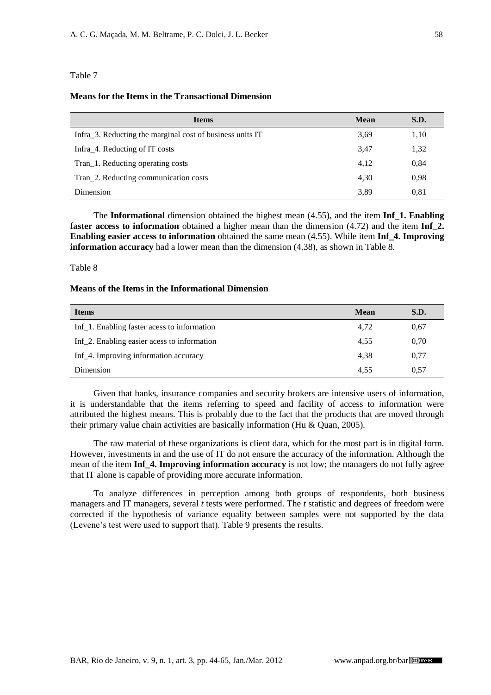#### Table 7

## **Means for the Items in the Transactional Dimension**

| <b>Items</b>                                                           | Mean | S.D. |
|------------------------------------------------------------------------|------|------|
| Infra <sub>2</sub> 3. Reducting the marginal cost of business units IT | 3.69 | 1,10 |
| Infra <sub>14</sub> . Reducting of IT costs                            | 3,47 | 1,32 |
| Tran_1. Reducting operating costs                                      | 4.12 | 0.84 |
| Tran_2. Reducting communication costs                                  | 4.30 | 0.98 |
| Dimension                                                              | 3,89 | 0.81 |

The **Informational** dimension obtained the highest mean (4.55), and the item **Inf\_1. Enabling faster access to information** obtained a higher mean than the dimension (4.72) and the item **Inf\_2. Enabling easier access to information** obtained the same mean (4.55). While item **Inf\_4. Improving information accuracy** had a lower mean than the dimension (4.38), as shown in Table 8.

#### Table 8

## **Means of the Items in the Informational Dimension**

| <b>Items</b>                                            | <b>Mean</b> | S.D. |
|---------------------------------------------------------|-------------|------|
| Inf <sub>1</sub> . Enabling faster acess to information | 4.72        | 0.67 |
| Inf <sub>2</sub> . Enabling easier acess to information | 4.55        | 0,70 |
| Inf <sub>14</sub> . Improving information accuracy      | 4.38        | 0.77 |
| Dimension                                               | 4.55        | 0.57 |

Given that banks, insurance companies and security brokers are intensive users of information, it is understandable that the items referring to speed and facility of access to information were attributed the highest means. This is probably due to the fact that the products that are moved through their primary value chain activities are basically information (Hu & Quan, 2005).

The raw material of these organizations is client data, which for the most part is in digital form. However, investments in and the use of IT do not ensure the accuracy of the information. Although the mean of the item **Inf\_4. Improving information accuracy** is not low; the managers do not fully agree that IT alone is capable of providing more accurate information.

To analyze differences in perception among both groups of respondents, both business managers and IT managers, several *t* tests were performed. The *t* statistic and degrees of freedom were corrected if the hypothesis of variance equality between samples were not supported by the data (Levene's test were used to support that). Table 9 presents the results.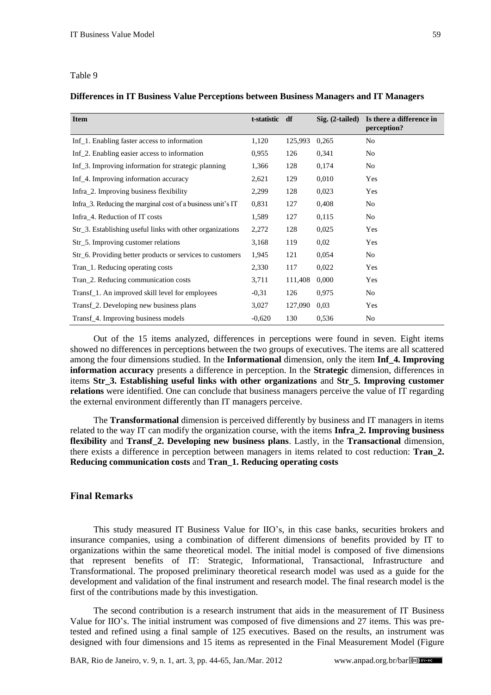Table 9

## **Differences in IT Business Value Perceptions between Business Managers and IT Managers**

| <b>Item</b>                                                              | t-statistic | df      | $Sig. (2-tailed)$ | Is there a difference in<br>perception? |
|--------------------------------------------------------------------------|-------------|---------|-------------------|-----------------------------------------|
| Inf <sub>1</sub> . Enabling faster access to information                 | 1,120       | 125,993 | 0,265             | No                                      |
| Inf 2. Enabling easier access to information                             | 0,955       | 126     | 0,341             | No                                      |
| Inf 3. Improving information for strategic planning                      | 1,366       | 128     | 0,174             | No                                      |
| Inf 4. Improving information accuracy                                    | 2,621       | 129     | 0,010             | Yes                                     |
| Infra 2. Improving business flexibility                                  | 2,299       | 128     | 0,023             | Yes                                     |
| Infra <sub>2</sub> 3. Reducing the marginal cost of a business unit's IT | 0,831       | 127     | 0,408             | No                                      |
| Infra 4. Reduction of IT costs                                           | 1,589       | 127     | 0,115             | N <sub>0</sub>                          |
| Str 3. Establishing useful links with other organizations                | 2,272       | 128     | 0,025             | Yes                                     |
| Str <sub>_5</sub> . Improving customer relations                         | 3,168       | 119     | 0,02              | Yes                                     |
| Str <sub>_6</sub> . Providing better products or services to customers   | 1,945       | 121     | 0,054             | No                                      |
| Tran 1. Reducing operating costs                                         | 2,330       | 117     | 0,022             | Yes                                     |
| Tran <sub>2</sub> . Reducing communication costs                         | 3,711       | 111,408 | 0,000             | Yes                                     |
| Transf <sub>1</sub> . An improved skill level for employees              | $-0,31$     | 126     | 0,975             | No                                      |
| Transf 2. Developing new business plans                                  | 3,027       | 127,090 | 0.03              | Yes                                     |
| Transf <sub>1</sub> 4. Improving business models                         | $-0,620$    | 130     | 0,536             | No                                      |

Out of the 15 items analyzed, differences in perceptions were found in seven. Eight items showed no differences in perceptions between the two groups of executives. The items are all scattered among the four dimensions studied. In the **Informational** dimension, only the item **Inf\_4. Improving information accuracy** presents a difference in perception. In the **Strategic** dimension, differences in items **Str\_3. Establishing useful links with other organizations** and **Str\_5. Improving customer relations** were identified. One can conclude that business managers perceive the value of IT regarding the external environment differently than IT managers perceive.

The **Transformational** dimension is perceived differently by business and IT managers in items related to the way IT can modify the organization course, with the items **Infra\_2. Improving business flexibility** and **Transf\_2. Developing new business plans**. Lastly, in the **Transactional** dimension, there exists a difference in perception between managers in items related to cost reduction: **Tran\_2. Reducing communication costs** and **Tran\_1. Reducing operating costs**

## **Final Remarks**

This study measured IT Business Value for IIO's, in this case banks, securities brokers and insurance companies, using a combination of different dimensions of benefits provided by IT to organizations within the same theoretical model. The initial model is composed of five dimensions that represent benefits of IT: Strategic, Informational, Transactional, Infrastructure and Transformational. The proposed preliminary theoretical research model was used as a guide for the development and validation of the final instrument and research model. The final research model is the first of the contributions made by this investigation.

The second contribution is a research instrument that aids in the measurement of IT Business Value for IIO's. The initial instrument was composed of five dimensions and 27 items. This was pretested and refined using a final sample of 125 executives. Based on the results, an instrument was designed with four dimensions and 15 items as represented in the Final Measurement Model (Figure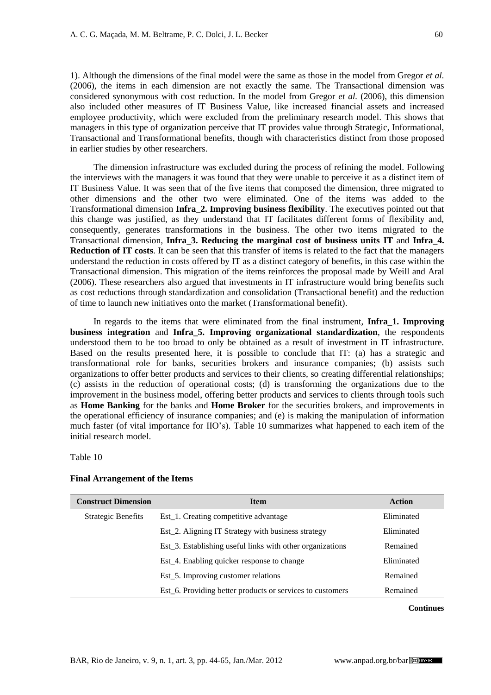1). Although the dimensions of the final model were the same as those in the model from Gregor *et al.* (2006), the items in each dimension are not exactly the same. The Transactional dimension was considered synonymous with cost reduction. In the model from Gregor *et al.* (2006), this dimension also included other measures of IT Business Value, like increased financial assets and increased employee productivity, which were excluded from the preliminary research model. This shows that managers in this type of organization perceive that IT provides value through Strategic, Informational, Transactional and Transformational benefits, though with characteristics distinct from those proposed in earlier studies by other researchers.

The dimension infrastructure was excluded during the process of refining the model. Following the interviews with the managers it was found that they were unable to perceive it as a distinct item of IT Business Value. It was seen that of the five items that composed the dimension, three migrated to other dimensions and the other two were eliminated. One of the items was added to the Transformational dimension **Infra\_2. Improving business flexibility**. The executives pointed out that this change was justified, as they understand that IT facilitates different forms of flexibility and, consequently, generates transformations in the business. The other two items migrated to the Transactional dimension, **Infra\_3. Reducing the marginal cost of business units IT** and **Infra\_4. Reduction of IT costs**. It can be seen that this transfer of items is related to the fact that the managers understand the reduction in costs offered by IT as a distinct category of benefits, in this case within the Transactional dimension. This migration of the items reinforces the proposal made by Weill and Aral (2006). These researchers also argued that investments in IT infrastructure would bring benefits such as cost reductions through standardization and consolidation (Transactional benefit) and the reduction of time to launch new initiatives onto the market (Transformational benefit).

In regards to the items that were eliminated from the final instrument, **Infra 1. Improving business integration** and **Infra\_5. Improving organizational standardization**, the respondents understood them to be too broad to only be obtained as a result of investment in IT infrastructure. Based on the results presented here, it is possible to conclude that IT: (a) has a strategic and transformational role for banks, securities brokers and insurance companies; (b) assists such organizations to offer better products and services to their clients, so creating differential relationships; (c) assists in the reduction of operational costs; (d) is transforming the organizations due to the improvement in the business model, offering better products and services to clients through tools such as **Home Banking** for the banks and **Home Broker** for the securities brokers, and improvements in the operational efficiency of insurance companies; and (e) is making the manipulation of information much faster (of vital importance for IIO's). Table 10 summarizes what happened to each item of the initial research model.

Table 10

## **Final Arrangement of the Items**

| <b>Construct Dimension</b> | <b>Item</b>                                                           | Action     |
|----------------------------|-----------------------------------------------------------------------|------------|
| Strategic Benefits         | Est <sub>1</sub> . Creating competitive advantage                     | Eliminated |
|                            | Est <sub>2</sub> . Aligning IT Strategy with business strategy        | Eliminated |
|                            | Est_3. Establishing useful links with other organizations             | Remained   |
|                            | Est <sub>1</sub> 4. Enabling quicker response to change               | Eliminated |
|                            | Est_5. Improving customer relations                                   | Remained   |
|                            | Est <sub>6</sub> . Providing better products or services to customers | Remained   |
|                            |                                                                       |            |

**Continues**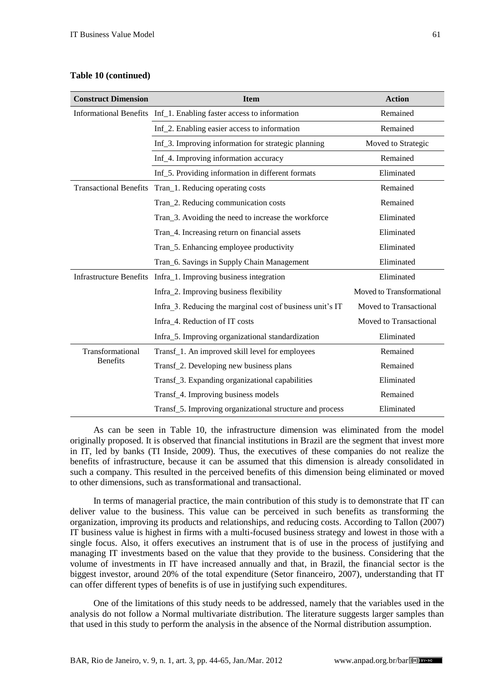#### **Table 10 (continued)**

| <b>Construct Dimension</b>     | <b>Item</b>                                                           | <b>Action</b>             |
|--------------------------------|-----------------------------------------------------------------------|---------------------------|
|                                | Informational Benefits Inf_1. Enabling faster access to information   | Remained                  |
|                                | Inf_2. Enabling easier access to information                          | Remained                  |
|                                | Inf_3. Improving information for strategic planning                   | Moved to Strategic        |
|                                | Inf_4. Improving information accuracy                                 | Remained                  |
|                                | Inf_5. Providing information in different formats                     | Eliminated                |
| <b>Transactional Benefits</b>  | Tran_1. Reducing operating costs                                      | Remained                  |
|                                | Tran_2. Reducing communication costs                                  | Remained                  |
|                                | Tran_3. Avoiding the need to increase the workforce                   | Eliminated                |
|                                | Tran_4. Increasing return on financial assets                         | Eliminated                |
|                                | Tran_5. Enhancing employee productivity                               | Eliminated                |
|                                | Tran_6. Savings in Supply Chain Management                            | Eliminated                |
| <b>Infrastructure Benefits</b> | Infra <sub>1</sub> . Improving business integration                   | Eliminated                |
|                                | Infra <sub>2</sub> . Improving business flexibility                   | Moved to Transformational |
|                                | Infra 3. Reducing the marginal cost of business unit's IT             | Moved to Transactional    |
|                                | Infra 4. Reduction of IT costs                                        | Moved to Transactional    |
|                                | Infra_5. Improving organizational standardization                     | Eliminated                |
| Transformational               | Transf_1. An improved skill level for employees                       | Remained                  |
| <b>Benefits</b>                | Transf_2. Developing new business plans                               | Remained                  |
|                                | Transf_3. Expanding organizational capabilities                       | Eliminated                |
|                                | Transf_4. Improving business models                                   | Remained                  |
|                                | Transf <sub>15</sub> . Improving organizational structure and process | Eliminated                |

As can be seen in Table 10, the infrastructure dimension was eliminated from the model originally proposed. It is observed that financial institutions in Brazil are the segment that invest more in IT, led by banks (TI Inside, 2009). Thus, the executives of these companies do not realize the benefits of infrastructure, because it can be assumed that this dimension is already consolidated in such a company. This resulted in the perceived benefits of this dimension being eliminated or moved to other dimensions, such as transformational and transactional.

In terms of managerial practice, the main contribution of this study is to demonstrate that IT can deliver value to the business. This value can be perceived in such benefits as transforming the organization, improving its products and relationships, and reducing costs. According to Tallon (2007) IT business value is highest in firms with a multi-focused business strategy and lowest in those with a single focus. Also, it offers executives an instrument that is of use in the process of justifying and managing IT investments based on the value that they provide to the business. Considering that the volume of investments in IT have increased annually and that, in Brazil, the financial sector is the biggest investor, around 20% of the total expenditure (Setor financeiro, 2007), understanding that IT can offer different types of benefits is of use in justifying such expenditures.

One of the limitations of this study needs to be addressed, namely that the variables used in the analysis do not follow a Normal multivariate distribution. The literature suggests larger samples than that used in this study to perform the analysis in the absence of the Normal distribution assumption.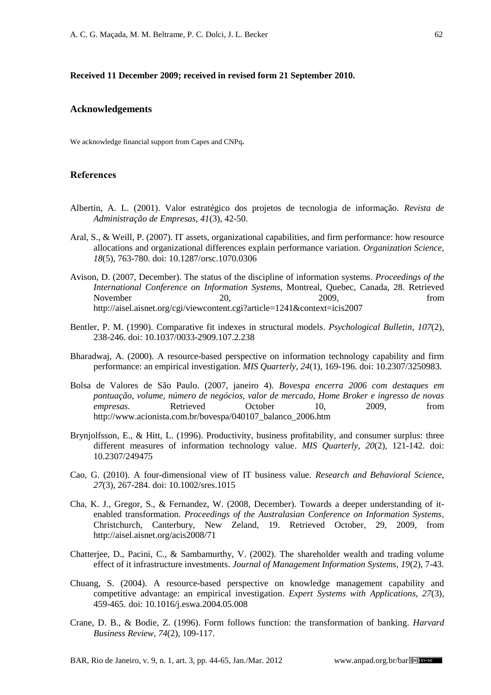## **Received 11 December 2009; received in revised form 21 September 2010.**

#### **Acknowledgements**

We acknowledge financial support from Capes and CNPq**.**

## **References**

- Albertin, A. L. (2001). Valor estratégico dos projetos de tecnologia de informação. *Revista de Administração de Empresas, 41*(3), 42-50.
- Aral, S., & Weill, P. (2007). IT assets, organizational capabilities, and firm performance: how resource allocations and organizational differences explain performance variation. *Organization Science, 18*(5), 763-780. doi: 10.1287/orsc.1070.0306
- Avison, D. (2007, December). The status of the discipline of information systems. *Proceedings of the International Conference on Information Systems*, Montreal, Quebec, Canada, 28. Retrieved November 20, 2009, from http://aisel.aisnet.org/cgi/viewcontent.cgi?article=1241&context=icis2007
- Bentler, P. M. (1990). Comparative fit indexes in structural models. *Psychological Bulletin, 107*(2), 238-246. doi: 10.1037/0033-2909.107.2.238
- Bharadwaj, A. (2000). A resource-based perspective on information technology capability and firm performance: an empirical investigation. *MIS Quarterly, 24*(1), 169-196. doi: 10.2307/3250983.
- Bolsa de Valores de São Paulo. (2007, janeiro 4). *Bovespa encerra 2006 com destaques em pontuação, volume, número de negócios, valor de mercado, Home Broker e ingresso de novas empresas.* Retrieved October 10, 2009, from http://www.acionista.com.br/bovespa/040107\_balanco\_2006.htm
- Brynjolfsson, E., & Hitt, L. (1996). Productivity, business profitability, and consumer surplus: three different measures of information technology value. *MIS Quarterly, 20*(2), 121-142. doi: 10.2307/249475
- Cao, G. (2010). A four-dimensional view of IT business value. *Research and Behavioral Science, 27*(3), 267-284. doi: 10.1002/sres.1015
- Cha, K. J., Gregor, S., & Fernandez, W. (2008, December). Towards a deeper understanding of itenabled transformation. *Proceedings of the Australasian Conference on Information Systems*, Christchurch, Canterbury, New Zeland, 19. Retrieved October, 29, 2009, from http://aisel.aisnet.org/acis2008/71
- Chatterjee, D., Pacini, C., & Sambamurthy, V. (2002). The shareholder wealth and trading volume effect of it infrastructure investments. *Journal of Management Information Systems, 19*(2), 7-43.
- Chuang, S. (2004). A resource-based perspective on knowledge management capability and competitive advantage: an empirical investigation. *Expert Systems with Applications, 27*(3), 459-465. doi: 10.1016/j.eswa.2004.05.008
- Crane, D. B., & Bodie, Z. (1996). Form follows function: the transformation of banking. *Harvard Business Review, 74*(2), 109-117.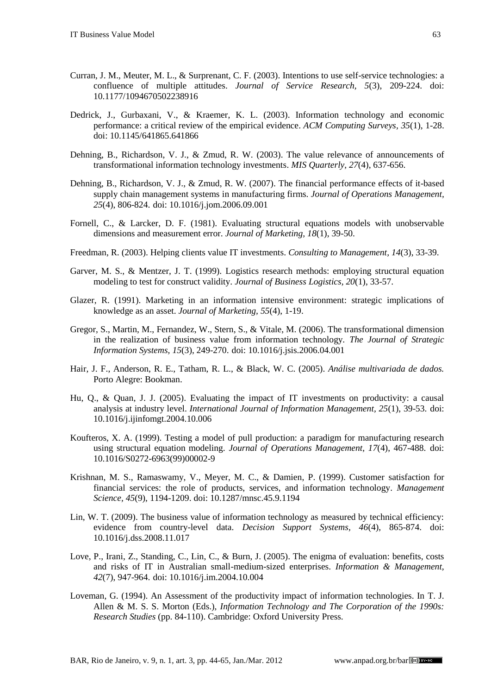- Curran, J. M., Meuter, M. L., & Surprenant, C. F. (2003). Intentions to use self-service technologies: a confluence of multiple attitudes. *Journal of Service Research, 5*(3), 209-224. doi: 10.1177/1094670502238916
- Dedrick, J., Gurbaxani, V., & Kraemer, K. L. (2003). Information technology and economic performance: a critical review of the empirical evidence. *ACM Computing Surveys, 35*(1), 1-28. doi: 10.1145/641865.641866
- Dehning, B., Richardson, V. J., & Zmud, R. W. (2003). The value relevance of announcements of transformational information technology investments. *MIS Quarterly, 27*(4), 637-656.
- Dehning, B., Richardson, V. J., & Zmud, R. W. (2007). The financial performance effects of it-based supply chain management systems in manufacturing firms. *Journal of Operations Management, 25*(4), 806-824. doi: 10.1016/j.jom.2006.09.001
- Fornell, C., & Larcker, D. F. (1981). Evaluating structural equations models with unobservable dimensions and measurement error. *Journal of Marketing, 18*(1), 39-50.
- Freedman, R. (2003). Helping clients value IT investments. *Consulting to Management, 14*(3), 33-39.
- Garver, M. S., & Mentzer, J. T. (1999). Logistics research methods: employing structural equation modeling to test for construct validity. *Journal of Business Logistics, 20*(1), 33-57.
- Glazer, R. (1991). Marketing in an information intensive environment: strategic implications of knowledge as an asset. *Journal of Marketing, 55*(4), 1-19.
- Gregor, S., Martin, M., Fernandez, W., Stern, S., & Vitale, M. (2006). The transformational dimension in the realization of business value from information technology. *The Journal of Strategic Information Systems, 15*(3), 249-270. doi: 10.1016/j.jsis.2006.04.001
- Hair, J. F., Anderson, R. E., Tatham, R. L., & Black, W. C. (2005). *Análise multivariada de dados.* Porto Alegre: Bookman.
- Hu, Q., & Quan, J. J. (2005). Evaluating the impact of IT investments on productivity: a causal analysis at industry level. *International Journal of Information Management, 25*(1), 39-53. doi: 10.1016/j.ijinfomgt.2004.10.006
- Koufteros, X. A. (1999). Testing a model of pull production: a paradigm for manufacturing research using structural equation modeling. *Journal of Operations Management, 17*(4), 467-488. doi: 10.1016/S0272-6963(99)00002-9
- Krishnan, M. S., Ramaswamy, V., Meyer, M. C., & Damien, P. (1999). Customer satisfaction for financial services: the role of products, services, and information technology. *Management Science, 45*(9), 1194-1209. doi: 10.1287/mnsc.45.9.1194
- Lin, W. T. (2009). The business value of information technology as measured by technical efficiency: evidence from country-level data. *Decision Support Systems, 46*(4), 865-874. doi: 10.1016/j.dss.2008.11.017
- Love, P., Irani, Z., Standing, C., Lin, C., & Burn, J. (2005). The enigma of evaluation: benefits, costs and risks of IT in Australian small-medium-sized enterprises. *Information & Management, 42*(7), 947-964. doi: 10.1016/j.im.2004.10.004
- Loveman, G. (1994). An Assessment of the productivity impact of information technologies. In T. J. Allen & M. S. S. Morton (Eds.), *Information Technology and The Corporation of the 1990s: Research Studies* (pp. 84-110). Cambridge: Oxford University Press.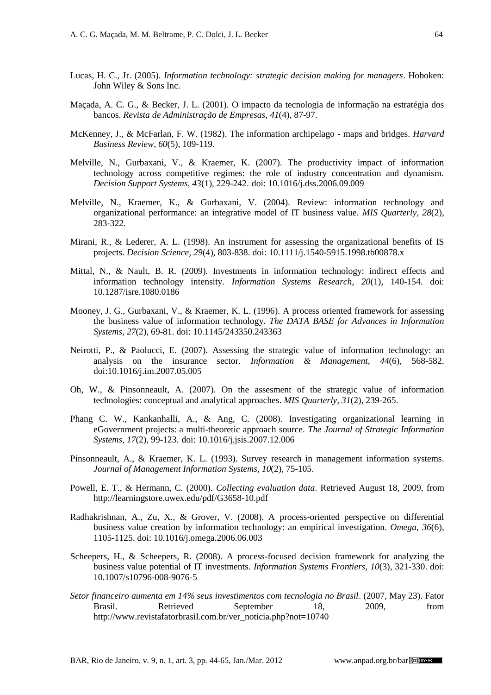- Lucas, H. C., Jr. (2005). *Information technology: strategic decision making for managers*. Hoboken: John Wiley & Sons Inc.
- Maçada, A. C. G., & Becker, J. L. (2001). O impacto da tecnologia de informação na estratégia dos bancos. *Revista de Administração de Empresas, 41*(4), 87-97.
- McKenney, J., & McFarlan, F. W. (1982). The information archipelago maps and bridges. *Harvard Business Review, 60*(5), 109-119.
- Melville, N., Gurbaxani, V., & Kraemer, K. (2007). The productivity impact of information technology across competitive regimes: the role of industry concentration and dynamism. *Decision Support Systems, 43*(1), 229-242. doi: 10.1016/j.dss.2006.09.009
- Melville, N., Kraemer, K., & Gurbaxani, V. (2004). Review: information technology and organizational performance: an integrative model of IT business value. *MIS Quarterly, 28*(2), 283-322.
- Mirani, R., & Lederer, A. L. (1998). An instrument for assessing the organizational benefits of IS projects. *Decision Science, 29*(4), 803-838. doi: 10.1111/j.1540-5915.1998.tb00878.x
- Mittal, N., & Nault, B. R. (2009). Investments in information technology: indirect effects and information technology intensity. *Information Systems Research, 20*(1), 140-154. doi: 10.1287/isre.1080.0186
- Mooney, J. G., Gurbaxani, V., & Kraemer, K. L. (1996). A process oriented framework for assessing the business value of information technology. *The DATA BASE for Advances in Information Systems, 27*(2), 69-81. doi: 10.1145/243350.243363
- Neirotti, P., & Paolucci, E. (2007). Assessing the strategic value of information technology: an analysis on the insurance sector. *Information & Management, 44*(6), 568-582. doi:10.1016/j.im.2007.05.005
- Oh, W., & Pinsonneault, A. (2007). On the assesment of the strategic value of information technologies: conceptual and analytical approaches. *MIS Quarterly, 31*(2), 239-265.
- Phang C. W., Kankanhalli, A., & Ang, C. (2008). Investigating organizational learning in eGovernment projects: a multi-theoretic approach source. *The Journal of Strategic Information Systems, 17*(2), 99-123. doi: 10.1016/j.jsis.2007.12.006
- Pinsonneault, A., & Kraemer, K. L. (1993). Survey research in management information systems. *Journal of Management Information Systems, 10*(2), 75-105.
- Powell, E. T., & Hermann, C. (2000). *Collecting evaluation data*. Retrieved August 18, 2009, from http://learningstore.uwex.edu/pdf/G3658-10.pdf
- Radhakrishnan, A., Zu, X., & Grover, V. (2008). A process-oriented perspective on differential business value creation by information technology: an empirical investigation. *Omega, 36*(6), 1105-1125. doi: 10.1016/j.omega.2006.06.003
- Scheepers, H., & Scheepers, R. (2008). A process-focused decision framework for analyzing the business value potential of IT investments. *Information Systems Frontiers, 10*(3), 321-330. doi: 10.1007/s10796-008-9076-5
- *Setor financeiro aumenta em 14% seus investimentos com tecnologia no Brasil*. (2007, May 23). Fator Brasil. Retrieved September 18, 2009, from http://www.revistafatorbrasil.com.br/ver\_noticia.php?not=10740